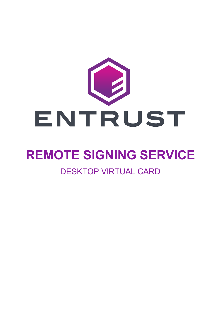

# **REMOTE SIGNING SERVICE**

# DESKTOP VIRTUAL CARD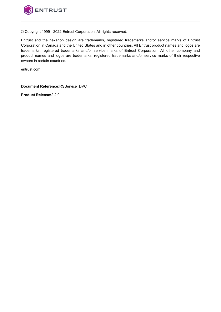

© Copyright 1999 - 2022 Entrust Corporation. All rights reserved.

Entrust and the hexagon design are trademarks, registered trademarks and/or service marks of Entrust Corporation in Canada and the United States and in other countries. All Entrust product names and logos are trademarks, registered trademarks and/or service marks of Entrust Corporation. All other company and product names and logos are trademarks, registered trademarks and/or service marks of their respective owners in certain countries.

entrust.com

**Document Reference:**RSService\_DVC

**Product Release:**2.2.0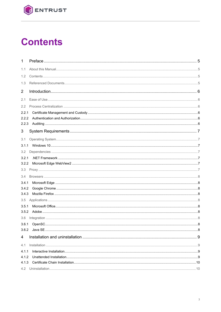

# **Contents**

| 1              |  |
|----------------|--|
| 1.1            |  |
| 1.2            |  |
| 1.3            |  |
|                |  |
| $\overline{2}$ |  |
| 2.1            |  |
| 2.2            |  |
| 2.2.1          |  |
| 2.2.2          |  |
| 2.2.3          |  |
| 3              |  |
| 3.1            |  |
| 3.1.1          |  |
| $3.2^{\circ}$  |  |
| 3.2.1          |  |
| 3.2.2          |  |
| 3.3            |  |
| 3.4            |  |
| 3.4.1          |  |
| 3.4.2          |  |
| 3.4.3          |  |
| 3.5            |  |
| 3.5.1          |  |
| 3.5.2          |  |
| 3.6            |  |
|                |  |
| 3.6.2          |  |
| 4              |  |
| 4.1            |  |
| 4.1.1          |  |
| 4.1.2          |  |
| 4.1.3          |  |
| 4.2            |  |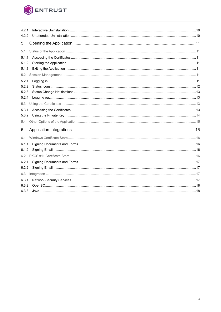

| 4.2.1 |  |
|-------|--|
| 4.2.2 |  |
| 5     |  |
| 5.1   |  |
| 5.1.1 |  |
| 5.1.2 |  |
| 5.1.3 |  |
| 5.2   |  |
| 5.2.1 |  |
| 5.2.2 |  |
| 5.2.3 |  |
| 5.2.4 |  |
| 5.3   |  |
| 5.3.1 |  |
| 5.3.2 |  |
| 5.4   |  |
| 6     |  |
| 6.1   |  |
| 6.1.1 |  |
| 6.1.2 |  |
| 6.2   |  |
| 6.2.1 |  |
| 6.2.2 |  |
| 6.3   |  |
| 6.3.1 |  |
| 6.3.2 |  |
| 6.3.3 |  |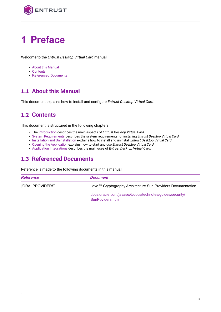

# <span id="page-4-0"></span>**1 Preface**

Welcome to the *Entrust Desktop Virtual Card* manual.

- [About this Manual](#page-4-1)
- [Contents](#page-4-2)
- [Referenced Documents](#page-4-3)

# <span id="page-4-1"></span>**1.1 About this Manual**

This document explains how to install and configure *Entrust Desktop Virtual Card*.

# <span id="page-4-2"></span>**1.2 Contents**

-

This document is structured in the following chapters:

- The [Introduction](#page-5-0) describes the main aspects of *Entrust Desktop Virtual Card*.
- [System Requirements](#page-6-0) describes the system requirements for installing *Entrust Desktop Virtual Card*.
- [Installation and Uninstallation](#page-8-0) explains how to install and uninstall *Entrust Desktop Virtual Card*.
- [Opening the Application](#page-10-0) explains how to start and use *Entrust Desktop Virtual Card*.
- [Application Integrations](#page-15-0) describes the main uses of *Entrust Desktop Virtual Card*.

# <span id="page-4-3"></span>**1.3 Referenced Documents**

Reference is made to the following documents in this manual.

<span id="page-4-4"></span>

| <b>Reference</b>       | <b>Document</b>                                                              |  |  |
|------------------------|------------------------------------------------------------------------------|--|--|
| <b>JORA PROVIDERSI</b> | Java™ Cryptography Architecture Sun Providers Documentation                  |  |  |
|                        | docs.oracle.com/javase/6/docs/technotes/guides/security/<br>SunPoviders.html |  |  |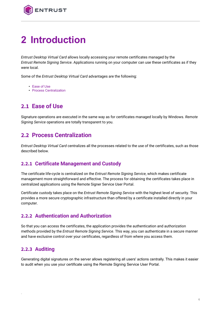

# <span id="page-5-0"></span>**2 Introduction**

*Entrust Desktop Virtual Card* allows locally accessing your remote certificates managed by the *Entrust Remote Signing Service*. Applications running on your computer can use these certificates as if they were local.

Some of the *Entrust Desktop Virtual Card* advantages are the following:

- [Ease of Use](#page-5-1)
- [Process Centralization](#page-5-2)

# <span id="page-5-1"></span>**2.1 Ease of Use**

Signature operations are executed in the same way as for certificates managed locally by Windows. *Remote Signing Service* operations are totally transparent to you.

#### <span id="page-5-2"></span>**2.2 Process Centralization**

*Entrust Desktop Virtual Card* centralizes all the processes related to the use of the certificates, such as those described below.

#### <span id="page-5-3"></span>**2.2.1 Certificate Management and Custody**

The certificate life-cycle is centralized on the *Entrust Remote Signing Service*, which makes certificate management more straightforward and effective. The process for obtaining the certificates takes place in centralized applications using the Remote Signer Service User Portal.

Certificate custody takes place on the *Entrust Remote Signing Service* with the highest level of security. This provides a more secure cryptographic infrastructure than offered by a certificate installed directly in your computer.

#### <span id="page-5-4"></span>**2.2.2 Authentication and Authorization**

So that you can access the certificates, the application provides the authentication and authorization methods provided by the *Entrust Remote Signing Service*. This way, you can authenticate in a secure manner and have exclusive control over your certificates, regardless of from where you access them.

#### <span id="page-5-5"></span>**2.2.3 Auditing**

-

Generating digital signatures on the server allows registering all users' actions centrally. This makes it easier to audit when you use your certificate using the Remote Signing Service User Portal.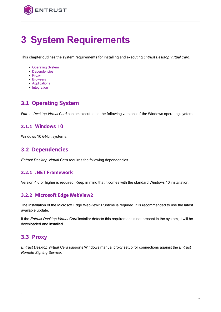

# <span id="page-6-0"></span>**3 System Requirements**

This chapter outlines the system requirements for installing and executing *Entrust Desktop Virtual Card*.

- [Operating System](#page-6-1)
- [Dependencies](#page-6-3)
- [Proxy](#page-6-6)
- [Browsers](#page-7-0)
- [Applications](#page-7-4)
- [Integration](#page-7-7)

# <span id="page-6-1"></span>**3.1 Operating System**

*Entrust Desktop Virtual Card* can be executed on the following versions of the Windows operating system.

#### <span id="page-6-2"></span>**3.1.1 Windows 10**

Windows 10 64-bit systems.

### <span id="page-6-3"></span>**3.2 Dependencies**

*Entrust Desktop Virtual Card* requires the following dependencies.

#### <span id="page-6-4"></span>**3.2.1 .NET Framework**

Version 4.6 or higher is required. Keep in mind that it comes with the standard Windows 10 installation.

#### <span id="page-6-5"></span>**3.2.2 Microsoft Edge WebView2**

The installation of the Microsoft Edge Webview2 Runtime is required. It is recommended to use the latest available update.

If the *Entrust Desktop Virtual Card* installer detects this requirement is not present in the system, it will be downloaded and installed.

#### <span id="page-6-6"></span>**3.3 Proxy**

-

*Entrust Desktop Virtual Card* supports Windows manual proxy setup for connections against the *Entrust Remote Signing Service*.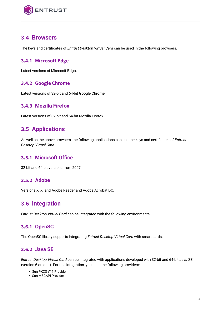

### <span id="page-7-0"></span>**3.4 Browsers**

The keys and certificates of *Entrust Desktop Virtual Card* can be used in the following browsers.

#### <span id="page-7-1"></span>**3.4.1 Microsoft Edge**

Latest versions of Microsoft Edge.

#### <span id="page-7-2"></span>**3.4.2 Google Chrome**

Latest versions of 32-bit and 64-bit Google Chrome.

#### <span id="page-7-3"></span>**3.4.3 Mozilla Firefox**

Latest versions of 32-bit and 64-bit Mozilla Firefox.

# <span id="page-7-4"></span>**3.5 Applications**

As well as the above browsers, the following applications can use the keys and certificates of *Entrust Desktop Virtual Card*.

#### <span id="page-7-5"></span>**3.5.1 Microsoft Office**

32-bit and 64-bit versions from 2007.

#### <span id="page-7-6"></span>**3.5.2 Adobe**

Versions X, XI and Adobe Reader and Adobe Acrobat DC.

#### <span id="page-7-7"></span>**3.6 Integration**

*Entrust Desktop Virtual Card* can be integrated with the following environments.

#### <span id="page-7-8"></span>**3.6.1 OpenSC**

The OpenSC library supports integrating *Entrust Desktop Virtual Card* with smart cards.

#### <span id="page-7-9"></span>**3.6.2 Java SE**

-

*Entrust Desktop Virtual Card* can be integrated with applications developed with 32-bit and 64-bit Java SE (version 6 or later). For this integration, you need the following providers:

- Sun PKCS #11 Provider
- Sun MSCAPI Provider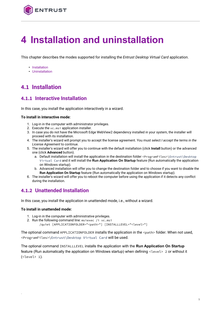

# <span id="page-8-0"></span>**4 Installation and uninstallation**

This chapter describes the modes supported for installing the *Entrust Desktop Virtual Card* application.

- [Installation](#page-8-1)
- [Uninstallation](#page-9-1)

# <span id="page-8-1"></span>**4.1 Installation**

#### <span id="page-8-2"></span>**4.1.1 Interactive Installation**

In this case, you install the application interactively in a wizard.

#### **To install in interactive mode:**

- 1. Log-in in the computer with administrator privileges.
- 2. Execute the vc.msi application installer.
- 3. In case you do not have the Microsoft Edge WebView2 dependency installed in your system, the installer will proceed with its installation.
- 4. The installer's wizard will prompt you to accept the license agreement. You must select *I accept the terms in the License Agreement* to continue.
- 5. The installer's wizard will offer you to continue with the default installation (click **Install** button) or the advanced one (click **Advanced** button).
	- a. Default installation will install the application in the destination folder <ProgramFiles>\Entrust\Desktop Virtual Card and it will install the **Run Application On Startup** feature (Run automatically the application on Windows startup).
	- b. Advanced installation will offer you to change the destination folder and to choose if you want to disable the **Run Application On Startup** feature (Run automatically the application on Windows startup).
- 6. The installer's wizard will offer you to reboot the computer before using the application if it detects any conflict during the installation.

#### <span id="page-8-3"></span>**4.1.2 Unattended Installation**

In this case, you install the application in unattended mode, i.e., without a wizard.

#### **To install in unattended mode:**

-

- 1. Log-in in the computer with administrative privileges.
- 2. Run the following command line: msiexec /i vc.msi
	- /quiet [APPLICATIONFOLDER="<path>"] [INSTALLLEVEL="<level>"]

The optional command APPLICATIONFOLDER installs the application in the <path> folder. When not used, <ProgramFiles>\Entrust\Desktop Virtual Card will be used.

The optional command INSTALLLEVEL installs the application with the **Run Application On Startup** feature (Run automatically the application on Windows startup) when defining <level> 2 or without it (<level> 1).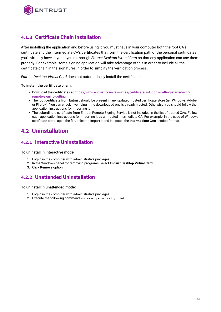

#### <span id="page-9-0"></span>**4.1.3 Certificate Chain Installation**

After installing the application and before using it, you must have in your computer both the root CA's certificate and the intermediate CA's certificates that form the certification path of the personal certificates you'll virtually have in your system through *Entrust Desktop Virtual Card* so that any application can use them properly. For example, some signing application will take advantage of this in order to include all the certificate chain in the signatures in order to simplify the verification process.

*Entrust Desktop Virtual Card* does not automatically install the certificate chain.

#### **To install the certificate chain:**

- [Download the certificates at https://www.entrust.com/resources/certificate-solutions/getting-started-with](https://www.entrust.com/resources/certificate-solutions/getting-started-with-remote-signing-getting)remote-signing-getting
- The root certificate from Entrust should be present in any updated trusted certificate store (ie., Windows, Adobe or Firefox). You can check it verifying if the downloaded one is already trusted. Otherwise, you should follow the application instructions for importing it.
- The subordinate certificate from Entrust Remote Signing Service is not included in the list of trusted CAs. Follow each application instructions for importing it as an trusted intermediate CA. For example, in the case of Windows certificate store, open the file, select to import it and indicates the **Intermediate CAs** section for that.

# <span id="page-9-1"></span>**4.2 Uninstallation**

#### <span id="page-9-2"></span>**4.2.1 Interactive Uninstallation**

#### **To uninstall in interactive mode:**

- 1. Log-in in the computer with administrative privileges.
- 2. In the Windows panel for removing programs, select **Entrust Desktop Virtual Card**.
- 3. Click **Remove** option.

#### <span id="page-9-3"></span>**4.2.2 Unattended Uninstallation**

#### **To uninstall in unattended mode:**

-

- 1. Log-in in the computer with administrative privileges.
- 2. Execute the following command: msiexec /x vc.msi /quiet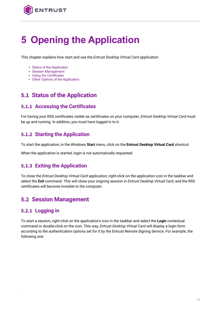

# <span id="page-10-0"></span>**5 Opening the Application**

This chapter explains how start and use the *Entrust Desktop Virtual Card* application.

- [Status of the Application](#page-10-1)
- [Session Management](#page-10-5)
- [Using the Certificates](#page-12-2)
- [Other Options of the Application](#page-14-0)

# <span id="page-10-1"></span>**5.1 Status of the Application**

#### <span id="page-10-2"></span>**5.1.1 Accessing the Certificates**

For having your RSS certificates visible as certificates on your computer, *Entrust Desktop Virtual Card* must be up and running. In addition, you must have logged in to it.

#### <span id="page-10-3"></span>**5.1.2 Starting the Application**

To start the application, in the Windows **Start** menu, click on the **Entrust Desktop Virtual Card** shortcut.

When the application is started, login is not automatically requested.

#### <span id="page-10-4"></span>**5.1.3 Exiting the Application**

To close the *Entrust Desktop Virtual Card* application, right-click on the application icon in the taskbar and select the **Exit** command. This will close your ongoing session in *Entrust Desktop Virtual Card*, and the RSS certificates will become invisible to the computer.

# <span id="page-10-5"></span>**5.2 Session Management**

#### <span id="page-10-6"></span>**5.2.1 Logging in**

-

To start a session, right-click on the application's icon in the taskbar and select the **Login** contextual command or double-click on the icon. This way, *Entrust Desktop Virtual Card* will display a login form according to the authentication options set for it by the Entrust Remote Signing Service. For example, the following one: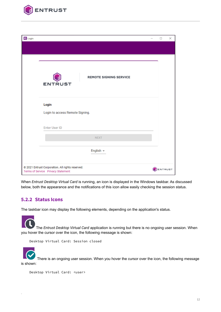

| $E$ Login |                                                  | $\Box$         | $\times$ |
|-----------|--------------------------------------------------|----------------|----------|
|           |                                                  |                |          |
|           |                                                  |                |          |
|           |                                                  |                |          |
|           | <b>REMOTE SIGNING SERVICE</b>                    |                |          |
|           | <b>ENTRUST</b>                                   |                |          |
|           |                                                  |                |          |
|           | Login                                            |                |          |
|           | Login to access Remote Signing.                  |                |          |
|           |                                                  |                |          |
|           | <b>Enter User ID</b>                             |                |          |
|           | <b>NEXT</b>                                      |                |          |
|           |                                                  |                |          |
|           | English $\sim$                                   |                |          |
|           | @ 2021 Entrust Corporation. All rights reserved. |                |          |
|           | Terms of Service Privacy Statement               | <b>ENTRUST</b> |          |

When *Entrust Desktop Virtual Card* is running, an icon is displayed in the Windows taskbar. As discussed below, both the appearance and the notifications of this icon allow easily checking the session status.

#### <span id="page-11-0"></span>**5.2.2 Status Icons**

-

The taskbar icon may display the following elements, depending on the application's status.

The *Entrust Desktop Virtual Card* application is running but there is no ongoing user session. When you hover the cursor over the icon, the following message is shown:

Desktop Virtual Card: Session closed

There is an ongoing user session. When you hover the cursor over the icon, the following message is shown:

```
Desktop Virtual Card: <user>
```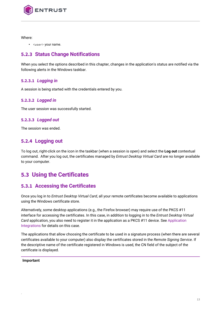

Where:

• <user> your name.

#### <span id="page-12-0"></span>**5.2.3 Status Change Notifications**

When you select the options described in this chapter, changes in the application's status are notified via the following alerts in the Windows taskbar.

#### **5.2.3.1** *Logging in*

A session is being started with the credentials entered by you.

#### **5.2.3.2** *Logged in*

The user session was successfully started.

#### **5.2.3.3** *Logged out*

The session was ended.

#### <span id="page-12-1"></span>**5.2.4 Logging out**

To log out, right-click on the icon in the taskbar (when a session is open) and select the **Log out** contextual command. After you log out, the certificates managed by *Entrust Desktop Virtual Card* are no longer available to your computer.

# <span id="page-12-2"></span>**5.3 Using the Certificates**

#### <span id="page-12-3"></span>**5.3.1 Accessing the Certificates**

Once you log in to *Entrust Desktop Virtual Card*, all your remote certificates become available to applications using the Windows certificate store.

Alternatively, some desktop applications (e.g., the Firefox browser) may require use of the PKCS #11 interface for accessing the certificates. In this case, in addition to logging in to the *Entrust Desktop Virtual Card* [application, you also need to register it in the application as a PKCS #11 device. See Application](#page-15-0)  Integrations for details on this case.

The applications that allow choosing the certificate to be used in a signature process (when there are several certificates available to your computer) also display the certificates stored in the *Remote Signing Service*. If the descriptive name of the certificate registered in Windows is used, the CN field of the subject of the certificate is displayed.

#### **Important**

-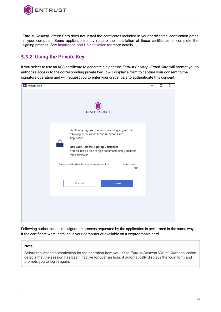

*Entrust Desktop Virtual Card* does not install the certificates included in your certificates' certification paths in your computer. Some applications may require the installation of these certificates to complete the signing process. See [Installation and Uninstallation](#page-8-0) for more details.

### <span id="page-13-0"></span>**5.3.2 Using the Private Key**

If you select to use an RSS certificate to generate a signature, *Entrust Desktop Virtual Card* will prompt you to authorize access to the corresponding private key. It will display a form to capture your consent to the signature operation and will request you to enter your credentials to authenticate this consent.



Following authorization, the signature process requested by the application is performed in the same way as if the certificate were installed in your computer or available on a cryptographic card.

#### **Note**

-

Before requesting authorization for the operation from you, if the *Entrust Desktop Virtual Card* application detects that the session has been inactive for over an hour, it automatically displays the login form and prompts you to log in again.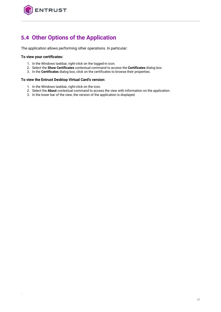

# <span id="page-14-0"></span>**5.4 Other Options of the Application**

The application allows performing other operations. In particular:

#### **To view your certificates:**

-

- 1. In the Windows taskbar, right-click on the logged-in icon.
- 2. Select the **Show Certificates** contextual command to access the **Certificates** dialog box.
- 3. In the **Certificates** dialog box, click on the certificates to browse their properties.

#### **To view the Entrust Desktop Virtual Card's version:**

- 1. In the Windows taskbar, right-click on the icon.
- 2. Select the **About** contextual command to access the view with information on the application.
- 3. In the lower bar of the view, the version of the application is displayed.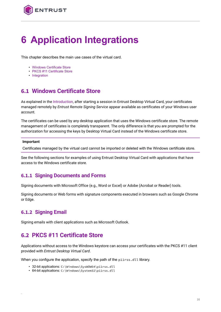

# <span id="page-15-0"></span>**6 Application Integrations**

This chapter describes the main use cases of the virtual card.

- [Windows Certificate Store](#page-15-1)
- [PKCS #11 Certificate Store](#page-15-4)
- [Integration](#page-16-2)

# <span id="page-15-1"></span>**6.1 Windows Certificate Store**

As explained in the [Introduction,](#page-5-0) after starting a session in Entrust Desktop Virtual Card, your certificates managed remotely by *Entrust Remote Signing Service* appear available as certificates of your Windows user account.

The certificates can be used by any desktop application that uses the Windows certificate store. The remote management of certificates is completely transparent. The only difference is that you are prompted for the authorization for accessing the keys by Desktop Virtual Card instead of the Windows certificate store.

#### **Important**

Certificates managed by the virtual card cannot be imported or deleted with the Windows certificate store.

See the following sections for examples of using Entrust Desktop Virtual Card with applications that have access to the Windows certificate store.

#### <span id="page-15-2"></span>**6.1.1 Signing Documents and Forms**

Signing documents with Microsoft Office (e.g., Word or Excel) or Adobe (Acrobat or Reader) tools.

Signing documents or Web forms with signature components executed in browsers such as Google Chrome or Edge.

#### <span id="page-15-3"></span>**6.1.2 Signing Email**

-

Signing emails with client applications such as Microsoft Outlook.

# <span id="page-15-4"></span>**6.2 PKCS #11 Certificate Store**

Applications without access to the Windows keystore can access your certificates with the PKCS #11 client provided with *Entrust Desktop Virtual Card*.

When you configure the application, specify the path of the p11rss.dll library.

- 32-bit applications: C:\Windows\SysWOW64\p11rss.dll
- 64-bit applications: C:\Windows\System32\p11rss.dll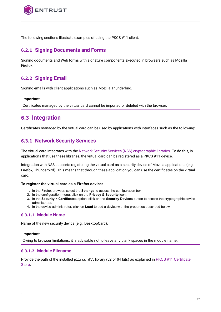

The following sections illustrate examples of using the PKCS #11 client.

#### <span id="page-16-0"></span>**6.2.1 Signing Documents and Forms**

Signing documents and Web forms with signature components executed in browsers such as Mozilla Firefox.

#### <span id="page-16-1"></span>**6.2.2 Signing Email**

Signing emails with client applications such as Mozilla Thunderbird.

#### **Important**

Certificates managed by the virtual card cannot be imported or deleted with the browser.

### <span id="page-16-2"></span>**6.3 Integration**

Certificates managed by the virtual card can be used by applications with interfaces such as the following:

#### <span id="page-16-3"></span>**6.3.1 Network Security Services**

The virtual card integrates with the [Network Security Services \(NSS\) cryptographic libraries.](https://developer.mozilla.org/en-US/docs/Mozilla/Projects/NSS) To do this, in applications that use these libraries, the virtual card can be registered as a PKCS #11 device.

Integration with NSS supports registering the virtual card as a security device of Mozilla applications (e.g., Firefox, Thunderbird). This means that through these application you can use the certificates on the virtual card.

#### **To register the virtual card as a Firefox device:**

- 1. In the Firefox browser, select the **Settings** to access the configuration box.
- 2. In the configuration menu, click on the **Privacy & Security** icon.
- 3. In the **Security > Certificates** option, click on the **Security Devices** button to access the cryptographic device administrator.
- 4. In the device administrator, click on **Load** to add a device with the properties described below.

#### **6.3.1.1 Module Name**

Name of the new security device (e.g., DesktopCard).

#### **Important**

-

Owing to browser limitations, it is advisable not to leave any blank spaces in the module name.

#### **6.3.1.2 Module Filename**

Provide the path of the installed p11rss.dll [library \(32 or 64 bits\) as explained in](#page-15-4) PKCS #11 Certificate **Store**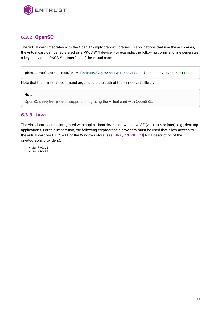

#### <span id="page-17-0"></span>**6.3.2 OpenSC**

The virtual card integrates with the OpenSC cryptographic libraries. In applications that use these libraries, the virtual card can be registered as a PKCS #11 device. For example, the following command line generates a key pair via the PKCS #11 interface of the virtual card:

```
pkcs11-tool.exe --module "C:\Windows\SysWOW64\p11rss.dll" -l -k --key-type rsa:1024
```
Note that the --module command argument is the path of the p11rss.dll library.

#### **Note**

OpenSC's engine\_pkcs11 supports integrating the virtual card with OpenSSL.

#### <span id="page-17-1"></span>**6.3.3 Java**

The virtual card can be integrated with applications developed with Java SE (version 6 or later), e.g., desktop applications. For this integration, the following cryptographic providers must be used that allow access to the virtual card via PKCS #11 or the Windows store (see [\[ORA\\_PROVIDERS\]](#page-4-4) for a description of the cryptography providers):

- SunPKCS11
- SunMSCAPI

-